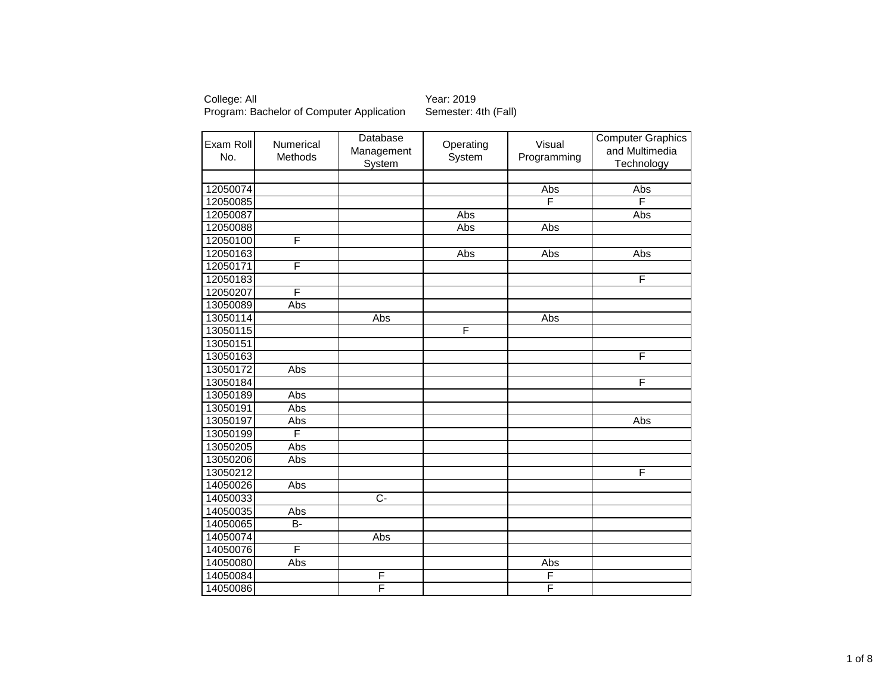| Exam Roll<br>No. | Numerical<br>Methods | Database<br>Management<br>System | Operating<br>System | Visual<br>Programming | <b>Computer Graphics</b><br>and Multimedia<br>Technology |
|------------------|----------------------|----------------------------------|---------------------|-----------------------|----------------------------------------------------------|
|                  |                      |                                  |                     |                       |                                                          |
| 12050074         |                      |                                  |                     | Abs                   | Abs                                                      |
| 12050085         |                      |                                  |                     | F                     | F                                                        |
| 12050087         |                      |                                  | Abs                 |                       | Abs                                                      |
| 12050088         |                      |                                  | Abs                 | Abs                   |                                                          |
| 12050100         | F                    |                                  |                     |                       |                                                          |
| 12050163         |                      |                                  | Abs                 | Abs                   | Abs                                                      |
| 12050171         | F                    |                                  |                     |                       |                                                          |
| 12050183         |                      |                                  |                     |                       | F                                                        |
| 12050207         | F                    |                                  |                     |                       |                                                          |
| 13050089         | Abs                  |                                  |                     |                       |                                                          |
| 13050114         |                      | Abs                              |                     | Abs                   |                                                          |
| 13050115         |                      |                                  | F                   |                       |                                                          |
| 13050151         |                      |                                  |                     |                       |                                                          |
| 13050163         |                      |                                  |                     |                       | F                                                        |
| 13050172         | Abs                  |                                  |                     |                       |                                                          |
| 13050184         |                      |                                  |                     |                       | F                                                        |
| 13050189         | Abs                  |                                  |                     |                       |                                                          |
| 13050191         | Abs                  |                                  |                     |                       |                                                          |
| 13050197         | Abs                  |                                  |                     |                       | Abs                                                      |
| 13050199         | F                    |                                  |                     |                       |                                                          |
| 13050205         | Abs                  |                                  |                     |                       |                                                          |
| 13050206         | Abs                  |                                  |                     |                       |                                                          |
| 13050212         |                      |                                  |                     |                       | F                                                        |
| 14050026         | Abs                  |                                  |                     |                       |                                                          |
| 14050033         |                      | $\overline{C}$                   |                     |                       |                                                          |
| 14050035         | Abs                  |                                  |                     |                       |                                                          |
| 14050065         | $\overline{B}$       |                                  |                     |                       |                                                          |
| 14050074         |                      | Abs                              |                     |                       |                                                          |
| 14050076         | F                    |                                  |                     |                       |                                                          |
| 14050080         | Abs                  |                                  |                     | Abs                   |                                                          |
| 14050084         |                      | F                                |                     | F                     |                                                          |
| 14050086         |                      | F                                |                     | F                     |                                                          |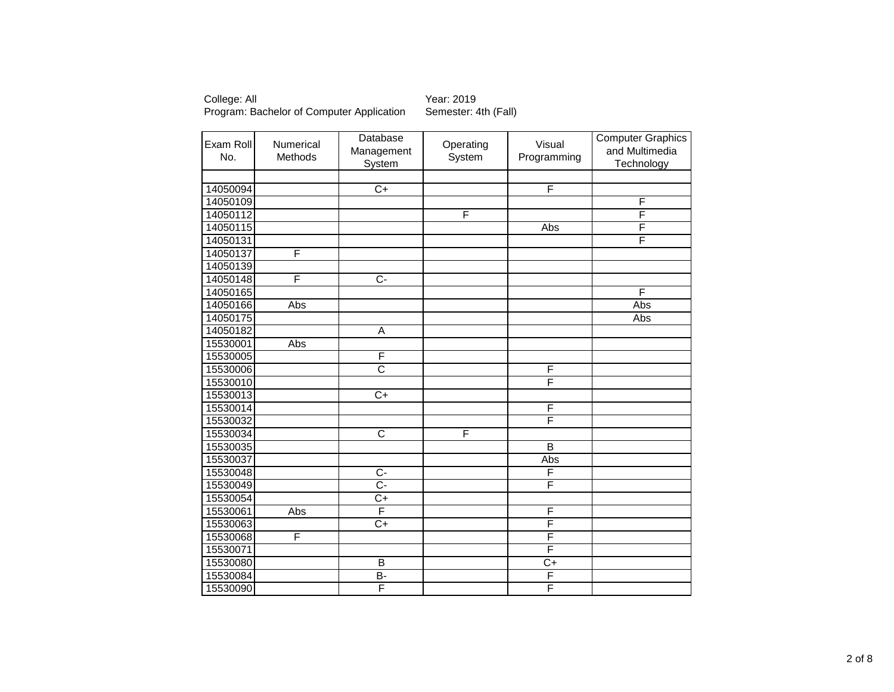| Exam Roll<br>No. | Numerical<br>Methods | Database<br>Management<br>System | Operating<br>System | Visual<br>Programming   | <b>Computer Graphics</b><br>and Multimedia<br>Technology |
|------------------|----------------------|----------------------------------|---------------------|-------------------------|----------------------------------------------------------|
|                  |                      |                                  |                     |                         |                                                          |
| 14050094         |                      | $\overline{C+}$                  |                     | F                       |                                                          |
| 14050109         |                      |                                  |                     |                         | F                                                        |
| 14050112         |                      |                                  | F                   |                         | F                                                        |
| 14050115         |                      |                                  |                     | Abs                     | F                                                        |
| 14050131         |                      |                                  |                     |                         | F                                                        |
| 14050137         | F                    |                                  |                     |                         |                                                          |
| 14050139         |                      |                                  |                     |                         |                                                          |
| 14050148         | F                    | $\overline{C}$                   |                     |                         |                                                          |
| 14050165         |                      |                                  |                     |                         | F                                                        |
| 14050166         | Abs                  |                                  |                     |                         | Abs                                                      |
| 14050175         |                      |                                  |                     |                         | Abs                                                      |
| 14050182         |                      | A                                |                     |                         |                                                          |
| 15530001         | Abs                  |                                  |                     |                         |                                                          |
| 15530005         |                      | F                                |                     |                         |                                                          |
| 15530006         |                      | $\overline{\text{c}}$            |                     | F                       |                                                          |
| 15530010         |                      |                                  |                     | F                       |                                                          |
| 15530013         |                      | $\overline{C+}$                  |                     |                         |                                                          |
| 15530014         |                      |                                  |                     | F                       |                                                          |
| 15530032         |                      |                                  |                     | F                       |                                                          |
| 15530034         |                      | $\overline{\text{c}}$            | F                   |                         |                                                          |
| 15530035         |                      |                                  |                     | $\overline{\mathsf{B}}$ |                                                          |
| 15530037         |                      |                                  |                     | Abs                     |                                                          |
| 15530048         |                      | $\overline{C}$                   |                     | F                       |                                                          |
| 15530049         |                      | $\overline{C}$                   |                     | F                       |                                                          |
| 15530054         |                      | $\overline{C+}$                  |                     |                         |                                                          |
| 15530061         | Abs                  | F                                |                     | F                       |                                                          |
| 15530063         |                      | $\overline{C+}$                  |                     | F                       |                                                          |
| 15530068         | F                    |                                  |                     | F                       |                                                          |
| 15530071         |                      |                                  |                     | F                       |                                                          |
| 15530080         |                      | $\overline{B}$                   |                     | $\overline{C+}$         |                                                          |
| 15530084         |                      | $B -$                            |                     | F                       |                                                          |
| 15530090         |                      | F                                |                     | F                       |                                                          |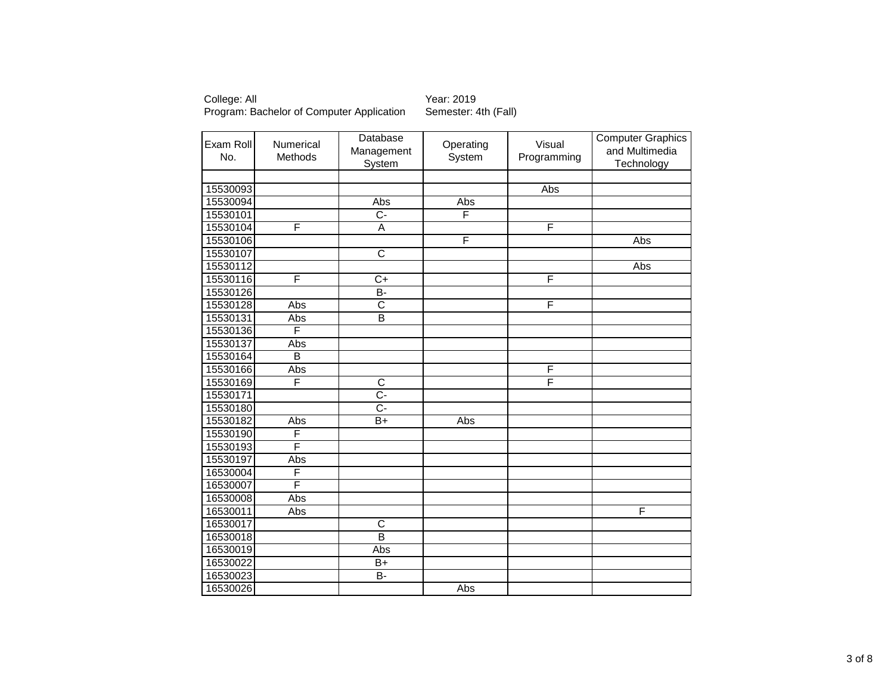| Exam Roll<br>No. | Numerical<br>Methods | Database<br>Management<br>System | Operating<br>System | Visual<br>Programming | <b>Computer Graphics</b><br>and Multimedia<br>Technology |
|------------------|----------------------|----------------------------------|---------------------|-----------------------|----------------------------------------------------------|
|                  |                      |                                  |                     |                       |                                                          |
| 15530093         |                      |                                  |                     | Abs                   |                                                          |
| 15530094         |                      | Abs                              | Abs                 |                       |                                                          |
| 15530101         |                      | $\overline{C}$                   | F                   |                       |                                                          |
| 15530104         | F                    | Ā                                |                     | F                     |                                                          |
| 15530106         |                      |                                  | F                   |                       | Abs                                                      |
| 15530107         |                      | $\overline{\text{c}}$            |                     |                       |                                                          |
| 15530112         |                      |                                  |                     |                       | Abs                                                      |
| 15530116         | F                    | $C+$                             |                     | F                     |                                                          |
| 15530126         |                      | $\overline{B}$                   |                     |                       |                                                          |
| 15530128         | Abs                  | $\overline{\text{c}}$            |                     | F                     |                                                          |
| 15530131         | Abs                  | $\overline{\mathsf{B}}$          |                     |                       |                                                          |
| 15530136         | F                    |                                  |                     |                       |                                                          |
| 15530137         | Abs                  |                                  |                     |                       |                                                          |
| 15530164         | B                    |                                  |                     |                       |                                                          |
| 15530166         | Abs                  |                                  |                     | F                     |                                                          |
| 15530169         | F                    | $\overline{\text{c}}$            |                     | F                     |                                                          |
| 15530171         |                      | $\overline{C}$ -                 |                     |                       |                                                          |
| 15530180         |                      | $\overline{C}$                   |                     |                       |                                                          |
| 15530182         | Abs                  | B+                               | Abs                 |                       |                                                          |
| 15530190         | F                    |                                  |                     |                       |                                                          |
| 15530193         | F                    |                                  |                     |                       |                                                          |
| 15530197         | Abs                  |                                  |                     |                       |                                                          |
| 16530004         | F                    |                                  |                     |                       |                                                          |
| 16530007         | F                    |                                  |                     |                       |                                                          |
| 16530008         | Abs                  |                                  |                     |                       |                                                          |
| 16530011         | Abs                  |                                  |                     |                       | F                                                        |
| 16530017         |                      | $\overline{\text{c}}$            |                     |                       |                                                          |
| 16530018         |                      | $\overline{\mathsf{B}}$          |                     |                       |                                                          |
| 16530019         |                      | Abs                              |                     |                       |                                                          |
| 16530022         |                      | $B+$                             |                     |                       |                                                          |
| 16530023         |                      | B-                               |                     |                       |                                                          |
| 16530026         |                      |                                  | Abs                 |                       |                                                          |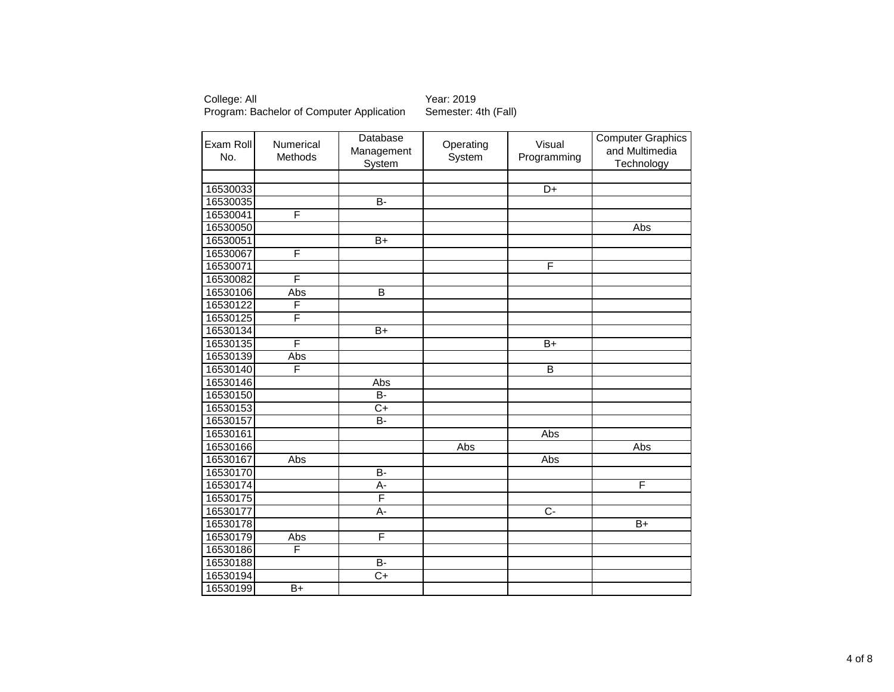College: All <br>Program: Bachelor of Computer Application Semester: 4th (Fall) Program: Bachelor of Computer Application

| Exam Roll<br>No. | Numerical<br>Methods | Database<br>Management<br><b>System</b> | Operating<br>System | Visual<br>Programming | <b>Computer Graphics</b><br>and Multimedia<br>Technology |
|------------------|----------------------|-----------------------------------------|---------------------|-----------------------|----------------------------------------------------------|
|                  |                      |                                         |                     |                       |                                                          |
| 16530033         |                      |                                         |                     | $\overline{D}$ +      |                                                          |
| 16530035         |                      | $B -$                                   |                     |                       |                                                          |
| 16530041         | F                    |                                         |                     |                       |                                                          |
| 16530050         |                      |                                         |                     |                       | Abs                                                      |
| 16530051         |                      | $\overline{B+}$                         |                     |                       |                                                          |
| 16530067         | F                    |                                         |                     |                       |                                                          |
| 16530071         |                      |                                         |                     | F                     |                                                          |
| 16530082         | F                    |                                         |                     |                       |                                                          |
| 16530106         | Abs                  | B                                       |                     |                       |                                                          |
| 16530122         | F                    |                                         |                     |                       |                                                          |
| 16530125         | F                    |                                         |                     |                       |                                                          |
| 16530134         |                      | $\overline{B+}$                         |                     |                       |                                                          |
| 16530135         | F                    |                                         |                     | $B+$                  |                                                          |
| 16530139         | Abs                  |                                         |                     |                       |                                                          |
| 16530140         | F                    |                                         |                     | B                     |                                                          |
| 16530146         |                      | Abs                                     |                     |                       |                                                          |
| 16530150         |                      | $\overline{B}$                          |                     |                       |                                                          |
| 16530153         |                      | $\overline{C+}$                         |                     |                       |                                                          |
| 16530157         |                      | $\overline{B}$                          |                     |                       |                                                          |
| 16530161         |                      |                                         |                     | Abs                   |                                                          |
| 16530166         |                      |                                         | Abs                 |                       | Abs                                                      |
| 16530167         | Abs                  |                                         |                     | Abs                   |                                                          |
| 16530170         |                      | $B -$                                   |                     |                       |                                                          |
| 16530174         |                      | $A -$                                   |                     |                       | F                                                        |
| 16530175         |                      | F                                       |                     |                       |                                                          |
| 16530177         |                      | $A -$                                   |                     | $\overline{C}$        |                                                          |
| 16530178         |                      |                                         |                     |                       | $B+$                                                     |
| 16530179         | Abs                  | F                                       |                     |                       |                                                          |
| 16530186         | F                    |                                         |                     |                       |                                                          |
| 16530188         |                      | $\overline{B}$                          |                     |                       |                                                          |
| 16530194         |                      | $\overline{C+}$                         |                     |                       |                                                          |
| 16530199         | $\overline{B+}$      |                                         |                     |                       |                                                          |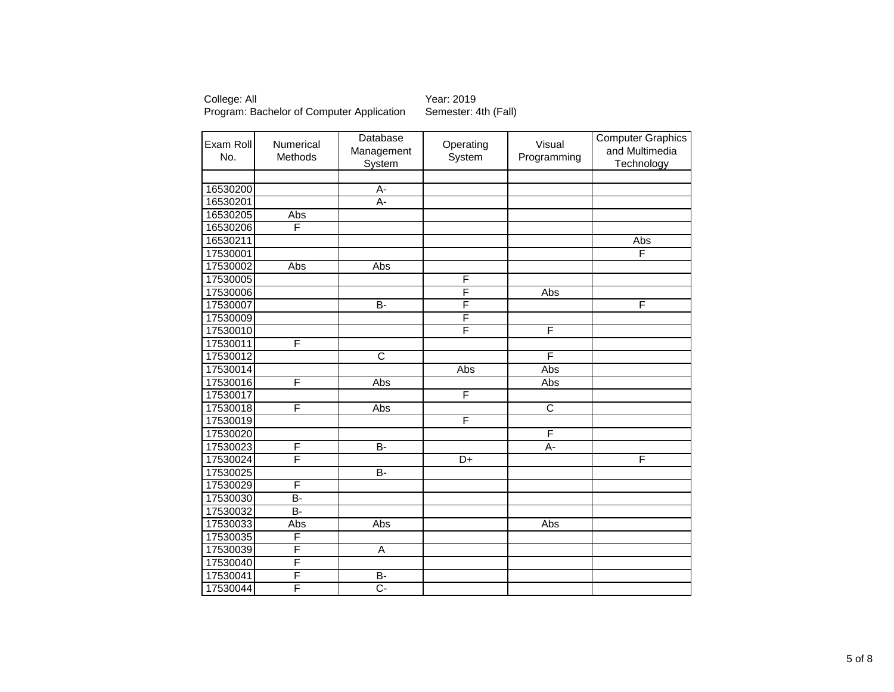| Exam Roll<br>No. | Numerical<br>Methods | Database<br>Management<br>System | Operating<br>System | Visual<br>Programming | <b>Computer Graphics</b><br>and Multimedia<br>Technology |
|------------------|----------------------|----------------------------------|---------------------|-----------------------|----------------------------------------------------------|
|                  |                      |                                  |                     |                       |                                                          |
| 16530200         |                      | A-                               |                     |                       |                                                          |
| 16530201         |                      | A-                               |                     |                       |                                                          |
| 16530205         | Abs                  |                                  |                     |                       |                                                          |
| 16530206         | F                    |                                  |                     |                       |                                                          |
| 16530211         |                      |                                  |                     |                       | Abs                                                      |
| 17530001         |                      |                                  |                     |                       | F                                                        |
| 17530002         | Abs                  | Abs                              |                     |                       |                                                          |
| 17530005         |                      |                                  | F                   |                       |                                                          |
| 17530006         |                      |                                  | F                   | Abs                   |                                                          |
| 17530007         |                      | $\overline{B}$                   | F                   |                       | F                                                        |
| 17530009         |                      |                                  | F                   |                       |                                                          |
| 17530010         |                      |                                  | F                   | F                     |                                                          |
| 17530011         | F                    |                                  |                     |                       |                                                          |
| 17530012         |                      | $\overline{\text{c}}$            |                     | F                     |                                                          |
| 17530014         |                      |                                  | Abs                 | Abs                   |                                                          |
| 17530016         | F                    | Abs                              |                     | Abs                   |                                                          |
| 17530017         |                      |                                  | F                   |                       |                                                          |
| 17530018         | F                    | Abs                              |                     | $\overline{\text{c}}$ |                                                          |
| 17530019         |                      |                                  | F                   |                       |                                                          |
| 17530020         |                      |                                  |                     | F                     |                                                          |
| 17530023         | F                    | B-                               |                     | $\overline{A}$ -      |                                                          |
| 17530024         | F                    |                                  | D+                  |                       | F                                                        |
| 17530025         |                      | $\overline{B}$                   |                     |                       |                                                          |
| 17530029         | F                    |                                  |                     |                       |                                                          |
| 17530030         | $\overline{B}$       |                                  |                     |                       |                                                          |
| 17530032         | $\overline{B}$       |                                  |                     |                       |                                                          |
| 17530033         | Abs                  | Abs                              |                     | Abs                   |                                                          |
| 17530035         | F                    |                                  |                     |                       |                                                          |
| 17530039         | F                    | $\overline{A}$                   |                     |                       |                                                          |
| 17530040         | F                    |                                  |                     |                       |                                                          |
| 17530041         | F                    | $\overline{B}$                   |                     |                       |                                                          |
| 17530044         | F                    | $\overline{C}$ -                 |                     |                       |                                                          |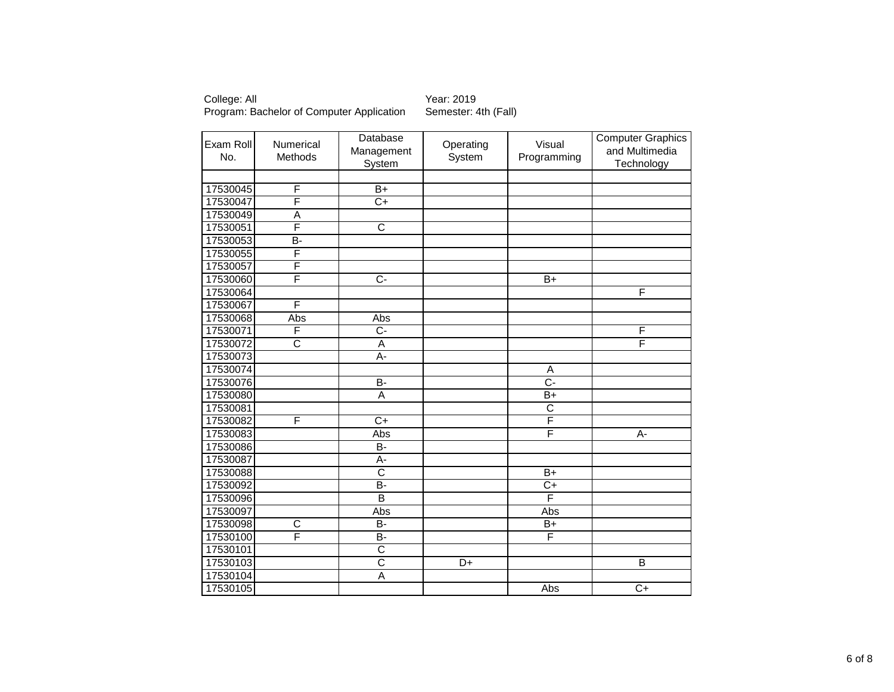College: All Year: 2019<br>Program: Bachelor of Computer Application Semester: 4th (Fall) Program: Bachelor of Computer Application

| Exam Roll<br>No. | Numerical<br>Methods  | Database<br>Management<br>System | Operating<br>System | Visual<br>Programming | <b>Computer Graphics</b><br>and Multimedia<br>Technology |
|------------------|-----------------------|----------------------------------|---------------------|-----------------------|----------------------------------------------------------|
|                  |                       |                                  |                     |                       |                                                          |
| 17530045         | F                     | $\overline{B+}$                  |                     |                       |                                                          |
| 17530047         | F                     | $\overline{C+}$                  |                     |                       |                                                          |
| 17530049         | A                     |                                  |                     |                       |                                                          |
| 17530051         | F                     | $\overline{\text{c}}$            |                     |                       |                                                          |
| 17530053         | B-                    |                                  |                     |                       |                                                          |
| 17530055         | F                     |                                  |                     |                       |                                                          |
| 17530057         | F                     |                                  |                     |                       |                                                          |
| 17530060         | F                     | $\overline{C}$                   |                     | $B+$                  |                                                          |
| 17530064         |                       |                                  |                     |                       | F                                                        |
| 17530067         | F                     |                                  |                     |                       |                                                          |
| 17530068         | Abs                   | Abs                              |                     |                       |                                                          |
| 17530071         | $\overline{F}$        | $\overline{C}$                   |                     |                       | F                                                        |
| 17530072         | $\overline{\text{c}}$ | A                                |                     |                       | F                                                        |
| 17530073         |                       | А-                               |                     |                       |                                                          |
| 17530074         |                       |                                  |                     | Α                     |                                                          |
| 17530076         |                       | $\overline{B}$                   |                     | $\overline{C}$ -      |                                                          |
| 17530080         |                       | Α                                |                     | $B+$                  |                                                          |
| 17530081         |                       |                                  |                     | $\overline{\text{c}}$ |                                                          |
| 17530082         | F                     | $\overline{C+}$                  |                     | F                     |                                                          |
| 17530083         |                       | Abs                              |                     | F                     | А-                                                       |
| 17530086         |                       | $B -$                            |                     |                       |                                                          |
| 17530087         |                       | A-                               |                     |                       |                                                          |
| 17530088         |                       | $\overline{\text{c}}$            |                     | $B+$                  |                                                          |
| 17530092         |                       | <b>B-</b>                        |                     | $C+$                  |                                                          |
| 17530096         |                       | B                                |                     | F                     |                                                          |
| 17530097         |                       | Abs                              |                     | Abs                   |                                                          |
| 17530098         | $\overline{C}$        | $\overline{B}$                   |                     | $\overline{B+}$       |                                                          |
| 17530100         | F                     | B-                               |                     | F                     |                                                          |
| 17530101         |                       | $\overline{\text{c}}$            |                     |                       |                                                          |
| 17530103         |                       | $\overline{\text{c}}$            | $\overline{D+}$     |                       | B                                                        |
| 17530104         |                       | $\overline{\mathsf{A}}$          |                     |                       |                                                          |
| 17530105         |                       |                                  |                     | Abs                   | $\overline{C+}$                                          |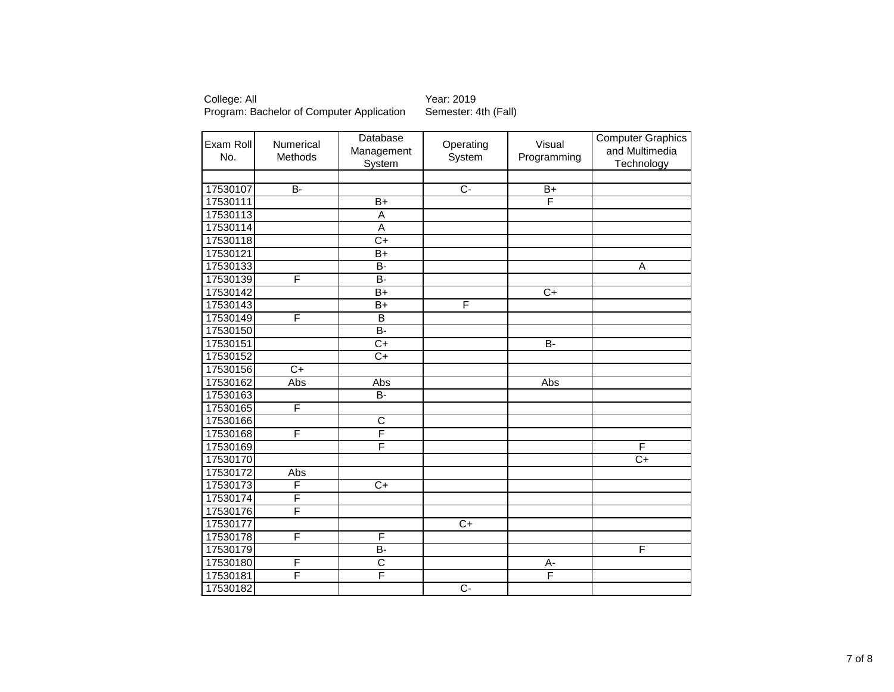| Exam Roll<br>No. | Numerical<br>Methods | Database<br>Management<br><b>System</b> | Operating<br>System | Visual<br>Programming | <b>Computer Graphics</b><br>and Multimedia<br>Technology |
|------------------|----------------------|-----------------------------------------|---------------------|-----------------------|----------------------------------------------------------|
|                  |                      |                                         |                     |                       |                                                          |
| 17530107         | $\overline{B}$       |                                         | $\overline{C}$      | $\overline{B+}$       |                                                          |
| 17530111         |                      | $\overline{B+}$                         |                     | F                     |                                                          |
| 17530113         |                      | A                                       |                     |                       |                                                          |
| 17530114         |                      | $\overline{\mathsf{A}}$                 |                     |                       |                                                          |
| 17530118         |                      | $\overline{C}$                          |                     |                       |                                                          |
| 17530121         |                      | $B+$                                    |                     |                       |                                                          |
| 17530133         |                      | $\overline{B}$                          |                     |                       | A                                                        |
| 17530139         | F                    | $\overline{B}$                          |                     |                       |                                                          |
| 17530142         |                      | $\overline{B+}$                         |                     | $C+$                  |                                                          |
| 17530143         |                      | $\overline{B+}$                         | F                   |                       |                                                          |
| 17530149         | F                    | $\overline{B}$                          |                     |                       |                                                          |
| 17530150         |                      | <b>B-</b>                               |                     |                       |                                                          |
| 17530151         |                      | $\overline{C}$                          |                     | $\overline{B}$        |                                                          |
| 17530152         |                      | $C+$                                    |                     |                       |                                                          |
| 17530156         | $\overline{C+}$      |                                         |                     |                       |                                                          |
| 17530162         | Abs                  | Abs                                     |                     | Abs                   |                                                          |
| 17530163         |                      | B-                                      |                     |                       |                                                          |
| 17530165         | F                    |                                         |                     |                       |                                                          |
| 17530166         |                      | $\overline{\text{c}}$                   |                     |                       |                                                          |
| 17530168         | F                    | F                                       |                     |                       |                                                          |
| 17530169         |                      | F                                       |                     |                       | F                                                        |
| 17530170         |                      |                                         |                     |                       | $\overline{C+}$                                          |
| 17530172         | Abs                  |                                         |                     |                       |                                                          |
| 17530173         | $\overline{F}$       | $\overline{C}$ +                        |                     |                       |                                                          |
| 17530174         | F                    |                                         |                     |                       |                                                          |
| 17530176         | F                    |                                         |                     |                       |                                                          |
| 17530177         |                      |                                         | $\overline{C+}$     |                       |                                                          |
| 17530178         | F                    | F                                       |                     |                       |                                                          |
| 17530179         |                      | B-                                      |                     |                       | F                                                        |
| 17530180         | F                    | $\overline{\text{c}}$                   |                     | А-                    |                                                          |
| 17530181         | F                    | F                                       |                     | F                     |                                                          |
| 17530182         |                      |                                         | $\overline{C}$      |                       |                                                          |